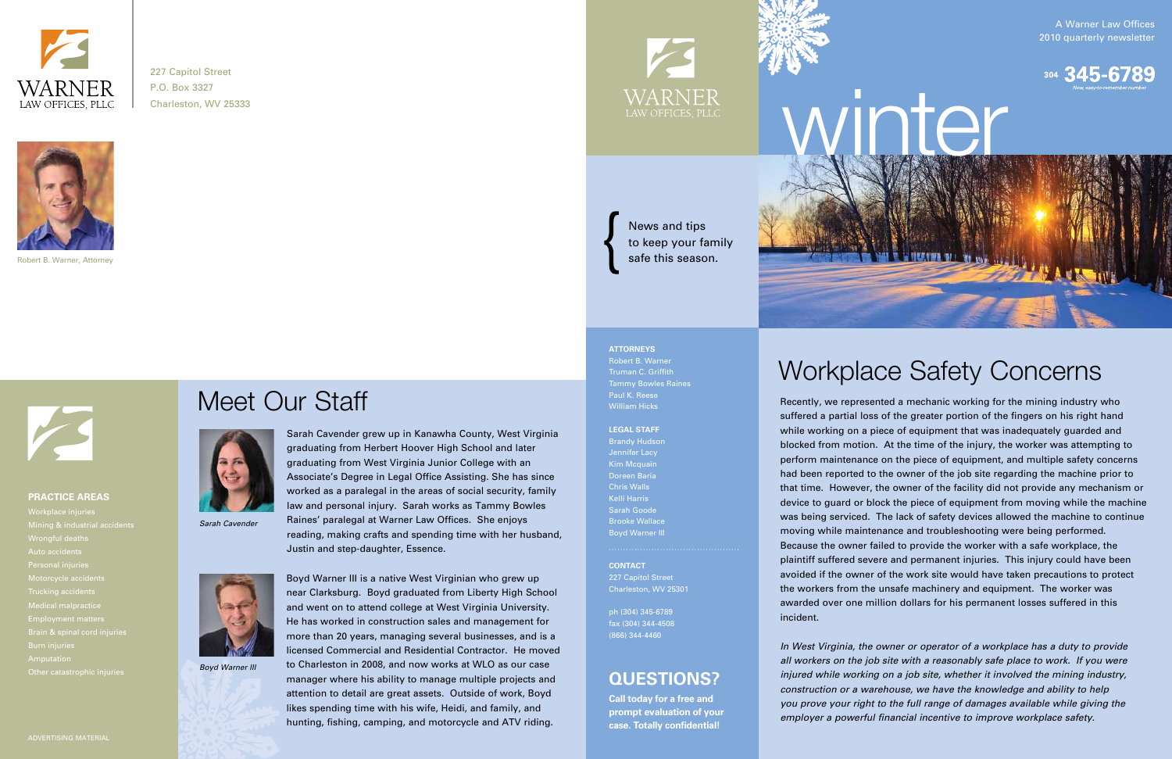# Meet Our Staff



*Sarah Cavender* 



*Boyd Warner III* 



227 Capitol Street P.O. Box 3327 Charleston, WV 25333



Robert B. Warner, Attorney



A Warner Law Offices 2010 quarterly newsletter



### **PRACTICE AREAS**

Mining & industrial accidents Personal injuries Motorcycle accidents Other catastrophic injuries



**CONTACT** 227 Capitol Street Charleston, WV 25301

ph (304) 345-6789 fax (304) 344-4508 (866) 344-4460

**ATTORNEYS** Robert B. Warner Truman C. Griffith Tammy Bowles Raines Paul K. Reese William Hicks

#### **LEGAL STAFF**

Brandy Hudson Jennifer Lacy Kim Mcquain Doreen Baria Chris Walls Kelli Harris Sarah Goode Boyd Warner III

> *In West Virginia, the owner or operator of a workplace has a duty to provide all workers on the job site with a reasonably safe place to work. If you were injured while working on a job site, whether it involved the mining industry, construction or a warehouse, we have the knowledge and ability to help you prove your right to the full range of damages available while giving the employer a powerful financial incentive to improve workplace safety.*

Recently, we represented a mechanic working for the mining industry who suffered a partial loss of the greater portion of the fingers on his right hand while working on a piece of equipment that was inadequately guarded and blocked from motion. At the time of the injury, the worker was attempting to perform maintenance on the piece of equipment, and multiple safety concerns had been reported to the owner of the job site regarding the machine prior to that time. However, the owner of the facility did not provide any mechanism or device to guard or block the piece of equipment from moving while the machine was being serviced. The lack of safety devices allowed the machine to continue moving while maintenance and troubleshooting were being performed. Because the owner failed to provide the worker with a safe workplace, the plaintiff suffered severe and permanent injuries. This injury could have been avoided if the owner of the work site would have taken precautions to protect the workers from the unsafe machinery and equipment. The worker was awarded over one million dollars for his permanent losses suffered in this incident.

# Workplace Safety Concerns

**Call today for a free and prompt evaluation of your case. Totally confidential!**

## **QUESTIONS?**

News and tips to keep your family safe this season.

Boyd Warner III is a native West Virginian who grew up near Clarksburg. Boyd graduated from Liberty High School and went on to attend college at West Virginia University. He has worked in construction sales and management for more than 20 years, managing several businesses, and is a licensed Commercial and Residential Contractor. He moved to Charleston in 2008, and now works at WLO as our case manager where his ability to manage multiple projects and attention to detail are great assets. Outside of work, Boyd likes spending time with his wife, Heidi, and family, and hunting, fishing, camping, and motorcycle and ATV riding.

Sarah Cavender grew up in Kanawha County, West Virginia graduating from Herbert Hoover High School and later graduating from West Virginia Junior College with an Associate's Degree in Legal Office Assisting. She has since worked as a paralegal in the areas of social security, family law and personal injury. Sarah works as Tammy Bowles Raines' paralegal at Warner Law Offices. She enjoys reading, making crafts and spending time with her husband, Justin and step-daughter, Essence.